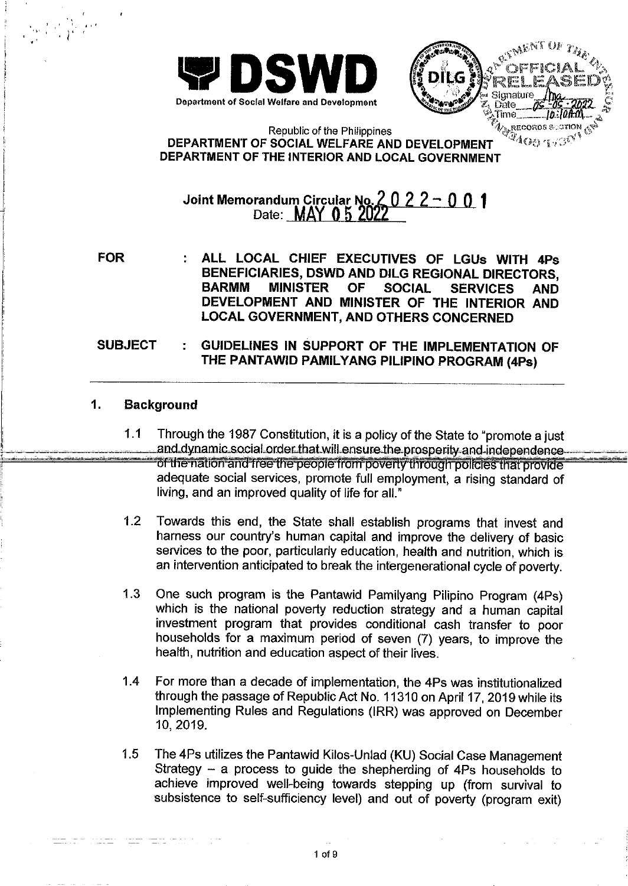

MENT OF  $\hat{\boldsymbol{A}}$   $\hat{\boldsymbol{A}}_{\hat{\boldsymbol{A}}$ Time A<sub>M</sub>recorps section <sub>(S</sub>S)<br>24 O<sub>O 19</sub>90<sup>01</sup>

### Republic of the Philippines DEPARTMENT OF SOCIAL WELFARE AND DEVELOPMENT DEPARTMENT OF THE INTERIOR AND LOCAL GOVERNMENT

## Joint Memorandum Circular No.<br>Date: **MAY 05 20** 2022-001

**FOR** 

 $\label{eq:3} \frac{\sum_{i=1}^n\sum_{j=1}^n\sum_{j=1}^n\sum_{j=1}^n\sum_{j=1}^n\sum_{j=1}^n\sum_{j=1}^n\sum_{j=1}^n\sum_{j=1}^n\sum_{j=1}^n\sum_{j=1}^n\sum_{j=1}^n\sum_{j=1}^n\sum_{j=1}^n\sum_{j=1}^n\sum_{j=1}^n\sum_{j=1}^n\sum_{j=1}^n\sum_{j=1}^n\sum_{j=1}^n\sum_{j=1}^n\sum_{j=1}^n\sum_{j=1}^n\sum_{j$ 

ALL LOCAL CHIEF EXECUTIVES OF LGUs WITH 4Ps BENEFICIARIES, DSWD AND DILG REGIONAL DIRECTORS. **BARMM MINISTER OF SOCIAL SERVICES AND** DEVELOPMENT AND MINISTER OF THE INTERIOR AND **LOCAL GOVERNMENT, AND OTHERS CONCERNED** 

#### **SUBJECT** GUIDELINES IN SUPPORT OF THE IMPLEMENTATION OF THE PANTAWID PAMILYANG PILIPINO PROGRAM (4Ps)

#### $\mathbf 1$ . **Background**

- $1.1$ Through the 1987 Constitution, it is a policy of the State to "promote a just" and dynamic social order that will ensure the prosperity and independence of the nation and free the people from poverty through policies that provide adequate social services, promote full employment, a rising standard of living, and an improved quality of life for all."
- $1.2$ Towards this end, the State shall establish programs that invest and harness our country's human capital and improve the delivery of basic services to the poor, particularly education, health and nutrition, which is an intervention anticipated to break the intergenerational cycle of poverty.
- $1.3$ One such program is the Pantawid Pamilyang Pilipino Program (4Ps) which is the national poverty reduction strategy and a human capital investment program that provides conditional cash transfer to poor households for a maximum period of seven (7) years, to improve the health, nutrition and education aspect of their lives.
- $1.4$ For more than a decade of implementation, the 4Ps was institutionalized through the passage of Republic Act No. 11310 on April 17, 2019 while its Implementing Rules and Regulations (IRR) was approved on December 10, 2019.
- $1.5$ The 4Ps utilizes the Pantawid Kilos-Unlad (KU) Social Case Management Strategy  $-$  a process to guide the shepherding of 4Ps households to achieve improved well-being towards stepping up (from survival to subsistence to self-sufficiency level) and out of poverty (program exit)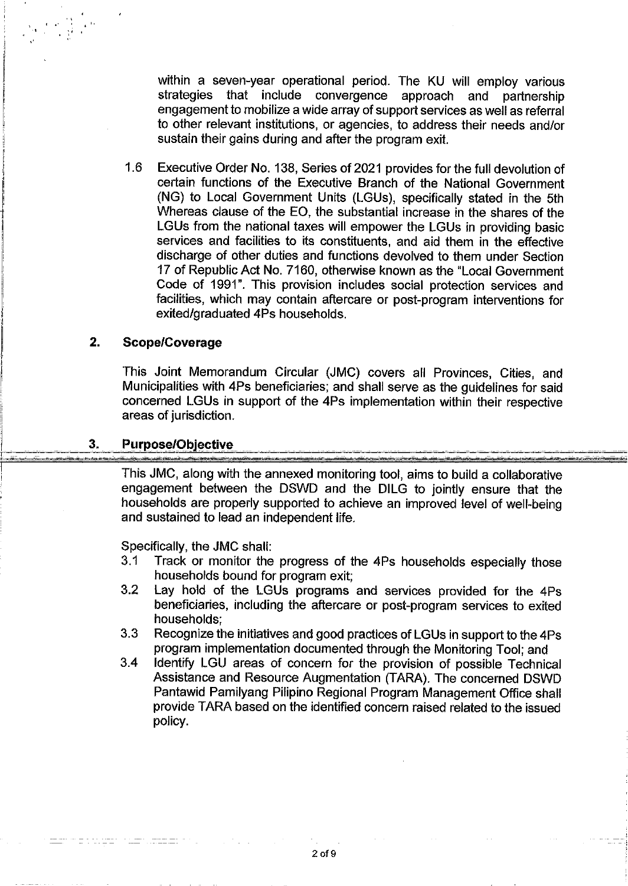within a seven-year operational period. The KU will employ various strategies that include convergence approach and partnership engagement to mobilize a wide array of support services as well as referral to other relevant institutions, or agencies, to address their needs and/or sustain their gains during and after the program exit.

 $1.6$ Executive Order No. 138, Series of 2021 provides for the full devolution of certain functions of the Executive Branch of the National Government (NG) to Local Government Units (LGUs), specifically stated in the 5th Whereas clause of the EO, the substantial increase in the shares of the LGUs from the national taxes will empower the LGUs in providing basic services and facilities to its constituents, and aid them in the effective discharge of other duties and functions devolved to them under Section 17 of Republic Act No. 7160, otherwise known as the "Local Government Code of 1991". This provision includes social protection services and facilities, which may contain aftercare or post-program interventions for exited/graduated 4Ps households.

#### $2.$ **Scope/Coverage**

This Joint Memorandum Circular (JMC) covers all Provinces, Cities, and Municipalities with 4Ps beneficiaries; and shall serve as the guidelines for said concerned LGUs in support of the 4Ps implementation within their respective areas of jurisdiction.

#### 3. **Purpose/Objective**

This JMC, along with the annexed monitoring tool, aims to build a collaborative engagement between the DSWD and the DILG to jointly ensure that the households are properly supported to achieve an improved level of well-being and sustained to lead an independent life.

Specifically, the JMC shall:

- Track or monitor the progress of the 4Ps households especially those  $3.1$ households bound for program exit:
- $3.2$ Lay hold of the LGUs programs and services provided for the 4Ps beneficiaries, including the aftercare or post-program services to exited households:
- $3.3<sub>2</sub>$ Recognize the initiatives and good practices of LGUs in support to the 4Ps program implementation documented through the Monitoring Tool; and
- $3.4$ Identify LGU areas of concern for the provision of possible Technical Assistance and Resource Augmentation (TARA). The concerned DSWD Pantawid Pamilyang Pilipino Regional Program Management Office shall provide TARA based on the identified concern raised related to the issued policy.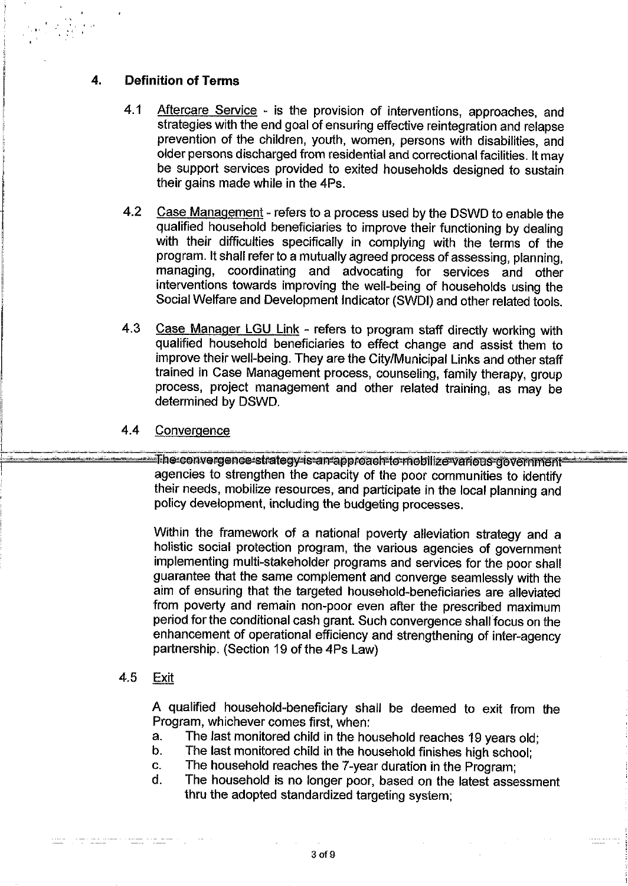#### $\overline{4}$ . **Definition of Terms**

- 4.1 Aftercare Service - is the provision of interventions, approaches, and strategies with the end goal of ensuring effective reintegration and relapse prevention of the children, youth, women, persons with disabilities, and older persons discharged from residential and correctional facilities. It may be support services provided to exited households designed to sustain their gains made while in the 4Ps.
- 4.2 Case Management - refers to a process used by the DSWD to enable the qualified household beneficiaries to improve their functioning by dealing with their difficulties specifically in complying with the terms of the program. It shall refer to a mutually agreed process of assessing, planning, managing, coordinating and advocating for services and other interventions towards improving the well-being of households using the Social Welfare and Development Indicator (SWDI) and other related tools.
- $4.3$ Case Manager LGU Link - refers to program staff directly working with qualified household beneficiaries to effect change and assist them to improve their well-being. They are the City/Municipal Links and other staff trained in Case Management process, counseling, family therapy, group process, project management and other related training, as may be determined by DSWD.

#### $4.4$ Convergence

The convergence strategy is an approach to mobilize various government agencies to strengthen the capacity of the poor communities to identify their needs, mobilize resources, and participate in the local planning and policy development, including the budgeting processes.

Within the framework of a national poverty alleviation strategy and a holistic social protection program, the various agencies of government implementing multi-stakeholder programs and services for the poor shall guarantee that the same complement and converge seamlessly with the aim of ensuring that the targeted household-beneficiaries are alleviated from poverty and remain non-poor even after the prescribed maximum period for the conditional cash grant. Such convergence shall focus on the enhancement of operational efficiency and strengthening of inter-agency partnership. (Section 19 of the 4Ps Law)

#### 4.5 Exit

A qualified household-beneficiary shall be deemed to exit from the Program, whichever comes first, when:

- The last monitored child in the household reaches 19 years old;  $a<sub>1</sub>$
- b. The last monitored child in the household finishes high school:
- The household reaches the 7-year duration in the Program; C.
- The household is no longer poor, based on the latest assessment d. thru the adopted standardized targeting system;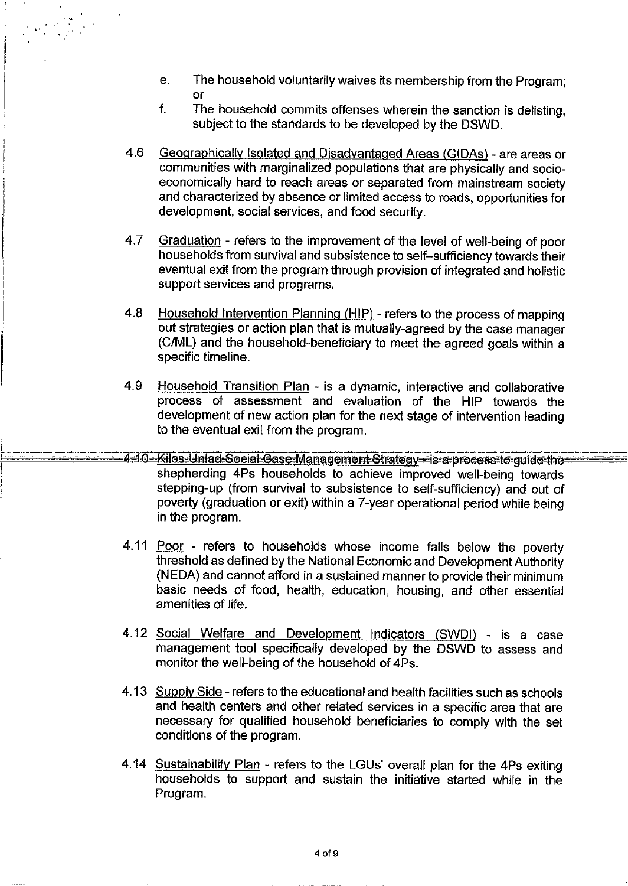$e<sub>1</sub>$ The household voluntarily waives its membership from the Program: or

 $\label{eq:2} \frac{1}{\sqrt{2}}\sum_{i=1}^n\frac{1}{2\sqrt{2}}\sum_{j=1}^n\frac{1}{2\sqrt{2}}\sum_{j=1}^n\frac{1}{2\sqrt{2}}\frac{1}{2\sqrt{2}}\frac{1}{2\sqrt{2}}\frac{1}{2\sqrt{2}}\frac{1}{2\sqrt{2}}\frac{1}{2\sqrt{2}}\frac{1}{2\sqrt{2}}\frac{1}{2\sqrt{2}}\frac{1}{2\sqrt{2}}\frac{1}{2\sqrt{2}}\frac{1}{2\sqrt{2}}\frac{1}{2\sqrt{2}}\frac{1}{2\sqrt{2}}\frac{1}{2\sqrt{2}}$ 

- f. The household commits offenses wherein the sanction is delisting. subject to the standards to be developed by the DSWD.
- Geographically Isolated and Disadvantaged Areas (GIDAs) are areas or 4.6 communities with marginalized populations that are physically and socioeconomically hard to reach areas or separated from mainstream society and characterized by absence or limited access to roads, opportunities for development, social services, and food security.
- 4.7 Graduation - refers to the improvement of the level of well-being of poor households from survival and subsistence to self-sufficiency towards their eventual exit from the program through provision of integrated and holistic support services and programs.
- 4.8 Household Intervention Planning (HIP) - refers to the process of mapping out strategies or action plan that is mutually-agreed by the case manager (C/ML) and the household-beneficiary to meet the agreed goals within a specific timeline.
- 4.9 Household Transition Plan - is a dynamic, interactive and collaborative process of assessment and evaluation of the HIP towards the development of new action plan for the next stage of intervention leading to the eventual exit from the program.
- 4-10-Kilos-Unlad-Social-Gase-Management-Strategy--is-a-process-to-guide-theshepherding 4Ps households to achieve improved well-being towards stepping-up (from survival to subsistence to self-sufficiency) and out of poverty (graduation or exit) within a 7-year operational period while being in the program.
- 4.11 Poor refers to households whose income falls below the poverty threshold as defined by the National Economic and Development Authority (NEDA) and cannot afford in a sustained manner to provide their minimum basic needs of food, health, education, housing, and other essential amenities of life.
- 4.12 Social Welfare and Development Indicators (SWDI) is a case management tool specifically developed by the DSWD to assess and monitor the well-being of the household of 4Ps.
- 4.13 Supply Side refers to the educational and health facilities such as schools and health centers and other related services in a specific area that are necessary for qualified household beneficiaries to comply with the set conditions of the program.
- 4.14 Sustainability Plan refers to the LGUs' overall plan for the 4Ps exiting households to support and sustain the initiative started while in the Program.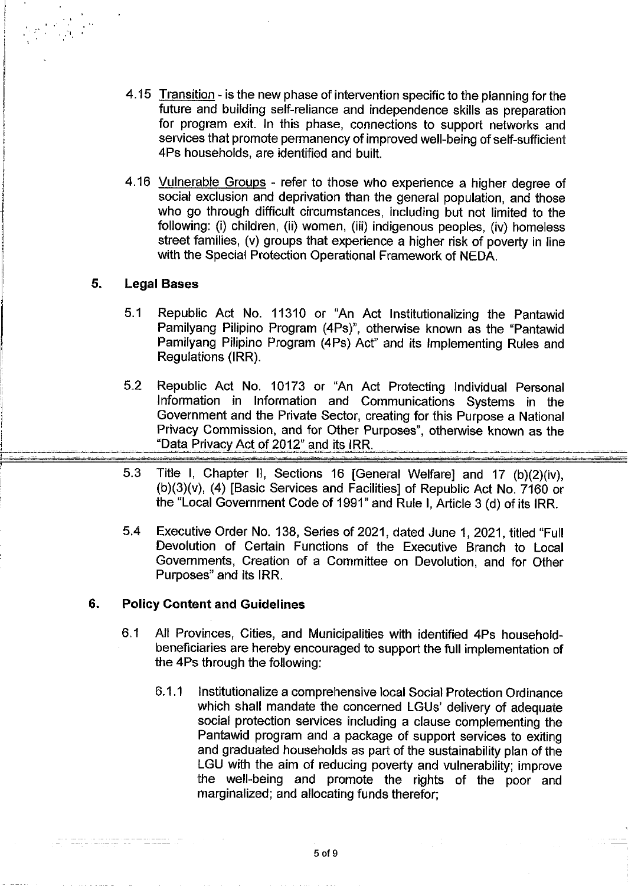- 4.15 Transition is the new phase of intervention specific to the planning for the future and building self-reliance and independence skills as preparation for program exit. In this phase, connections to support networks and services that promote permanency of improved well-being of self-sufficient 4Ps households, are identified and built.
- 4.16 Vulnerable Groups refer to those who experience a higher degree of social exclusion and deprivation than the general population, and those who go through difficult circumstances, including but not limited to the following: (i) children, (ii) women, (iii) indigenous peoples, (iv) homeless street families, (v) groups that experience a higher risk of poverty in line with the Special Protection Operational Framework of NEDA.

#### 5. **Legal Bases**

 $\label{eq:2} \frac{1}{\sqrt{2}}\int_{0}^{\infty}\frac{1}{\sqrt{2}}\int_{0}^{\infty}\frac{1}{\sqrt{2}}\int_{0}^{\infty}\frac{1}{\sqrt{2}}\int_{0}^{\infty}\frac{1}{\sqrt{2}}\int_{0}^{\infty}\frac{1}{\sqrt{2}}\int_{0}^{\infty}\frac{1}{\sqrt{2}}\int_{0}^{\infty}\frac{1}{\sqrt{2}}\int_{0}^{\infty}\frac{1}{\sqrt{2}}\int_{0}^{\infty}\frac{1}{\sqrt{2}}\int_{0}^{\infty}\frac{1}{\sqrt{2}}\int_{0}^{\infty}\frac{1$ 

- $5.1$ Republic Act No. 11310 or "An Act Institutionalizing the Pantawid Pamilyang Pilipino Program (4Ps)", otherwise known as the "Pantawid Pamilyang Pilipino Program (4Ps) Act" and its Implementing Rules and Regulations (IRR).
- $5.2$ Republic Act No. 10173 or "An Act Protecting Individual Personal Information in Information and Communications Systems in the Government and the Private Sector, creating for this Purpose a National Privacy Commission, and for Other Purposes", otherwise known as the "Data Privacy Act of 2012" and its IRR.
- 5.3 Title I, Chapter II, Sections 16 [General Welfare] and 17 (b)(2)(iv), (b)(3)(v), (4) [Basic Services and Facilities] of Republic Act No. 7160 or the "Local Government Code of 1991" and Rule I, Article 3 (d) of its IRR.
- $5.4$ Executive Order No. 138, Series of 2021, dated June 1, 2021, titled "Full Devolution of Certain Functions of the Executive Branch to Local Governments, Creation of a Committee on Devolution, and for Other Purposes" and its IRR.

#### 6. **Policy Content and Guidelines**

- $6.1$ All Provinces, Cities, and Municipalities with identified 4Ps householdbeneficiaries are hereby encouraged to support the full implementation of the 4Ps through the following:
	- $6.1.1$ Institutionalize a comprehensive local Social Protection Ordinance which shall mandate the concerned LGUs' delivery of adequate social protection services including a clause complementing the Pantawid program and a package of support services to exiting and graduated households as part of the sustainability plan of the LGU with the aim of reducing poverty and vulnerability; improve the well-being and promote the rights of the poor and marginalized; and allocating funds therefor;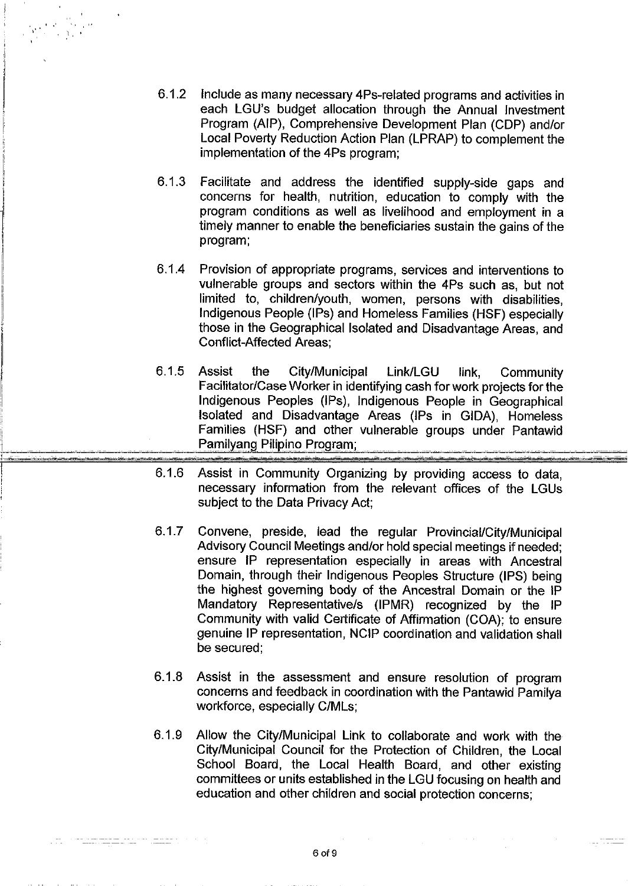- $6.1.2$ Include as many necessary 4Ps-related programs and activities in each LGU's budget allocation through the Annual Investment Program (AIP), Comprehensive Development Plan (CDP) and/or Local Poverty Reduction Action Plan (LPRAP) to complement the implementation of the 4Ps program;
- $6.1.3$ Facilitate and address the identified supply-side gaps and concerns for health, nutrition, education to comply with the program conditions as well as livelihood and employment in a timely manner to enable the beneficiaries sustain the gains of the program;
- $6.1.4$ Provision of appropriate programs, services and interventions to vulnerable groups and sectors within the 4Ps such as, but not limited to, children/youth, women, persons with disabilities, Indigenous People (IPs) and Homeless Families (HSF) especially those in the Geographical Isolated and Disadvantage Areas, and **Conflict-Affected Areas:**
- $6.1.5$ **Assist** City/Municipal the Link/LGU link. Community Facilitator/Case Worker in identifying cash for work projects for the Indigenous Peoples (IPs), Indigenous People in Geographical Isolated and Disadvantage Areas (IPs in GIDA). Homeless Families (HSF) and other vulnerable groups under Pantawid Pamilyang Pilipino Program;
- $6.1.6$ Assist in Community Organizing by providing access to data. necessary information from the relevant offices of the LGUs subject to the Data Privacy Act:
- 6.1.7 Convene, preside, lead the regular Provincial/City/Municipal Advisory Council Meetings and/or hold special meetings if needed; ensure IP representation especially in areas with Ancestral Domain, through their Indigenous Peoples Structure (IPS) being the highest governing body of the Ancestral Domain or the IP Mandatory Representative/s (IPMR) recognized by the IP Community with valid Certificate of Affirmation (COA); to ensure genuine IP representation, NCIP coordination and validation shall be secured:
- 6.1.8 Assist in the assessment and ensure resolution of program concerns and feedback in coordination with the Pantawid Pamilya workforce, especially C/MLs;
- 6.19 Allow the City/Municipal Link to collaborate and work with the City/Municipal Council for the Protection of Children, the Local School Board, the Local Health Board, and other existing committees or units established in the LGU focusing on health and education and other children and social protection concerns;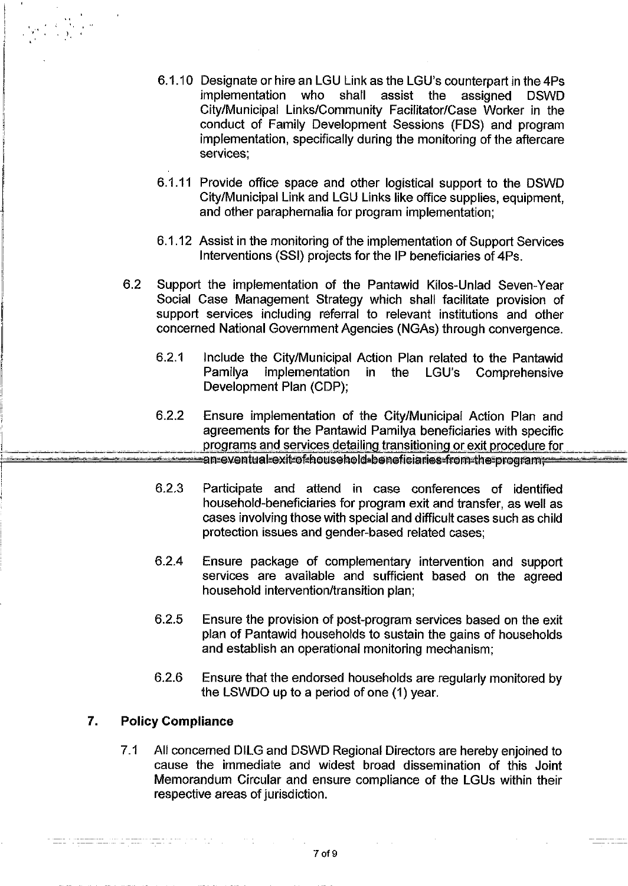- 6.1.10 Designate or hire an LGU Link as the LGU's counterpart in the 4Ps assist the *implementation* who shall assigned **DSWD** City/Municipal Links/Community Facilitator/Case Worker in the conduct of Family Development Sessions (FDS) and program implementation, specifically during the monitoring of the aftercare services:
- 6.1.11 Provide office space and other logistical support to the DSWD City/Municipal Link and LGU Links like office supplies, equipment, and other paraphernalia for program implementation:
- 6.1.12 Assist in the monitoring of the implementation of Support Services Interventions (SSI) projects for the IP beneficiaries of 4Ps.
- 62 Support the implementation of the Pantawid Kilos-Unlad Seven-Year Social Case Management Strategy which shall facilitate provision of support services including referral to relevant institutions and other concerned National Government Agencies (NGAs) through convergence.
	- Include the City/Municipal Action Plan related to the Pantawid  $6.2.1$ implementation Pamilva in the LGU's Comprehensive Development Plan (CDP);
	- $6.2.2$ Ensure implementation of the City/Municipal Action Plan and agreements for the Pantawid Pamilya beneficiaries with specific programs and services detailing transitioning or exit procedure for an eventual exitof household beneficiaries from the program
	- 6.2.3 Participate and attend in case conferences of identified household-beneficiaries for program exit and transfer, as well as cases involving those with special and difficult cases such as child protection issues and gender-based related cases;
	- $6.2.4$ Ensure package of complementary intervention and support services are available and sufficient based on the agreed household intervention/transition plan:
	- 6.2.5 Ensure the provision of post-program services based on the exit plan of Pantawid households to sustain the gains of households and establish an operational monitoring mechanism;
	- 6.2.6 Ensure that the endorsed households are regularly monitored by the LSWDO up to a period of one (1) year.

#### 7. **Policy Compliance**

an a<del>n ma</del>na mana an s

 $\label{eq:2} \frac{1}{\left|\mathcal{L}_{\text{max}}\right|}\leq\frac{1}{\sqrt{2}}\sum_{i=1}^{n}\frac{1}{\mathcal{L}_{\text{max}}^2}$ 

 $7.1$ All concerned DILG and DSWD Regional Directors are hereby enjoined to cause the immediate and widest broad dissemination of this Joint Memorandum Circular and ensure compliance of the LGUs within their respective areas of jurisdiction.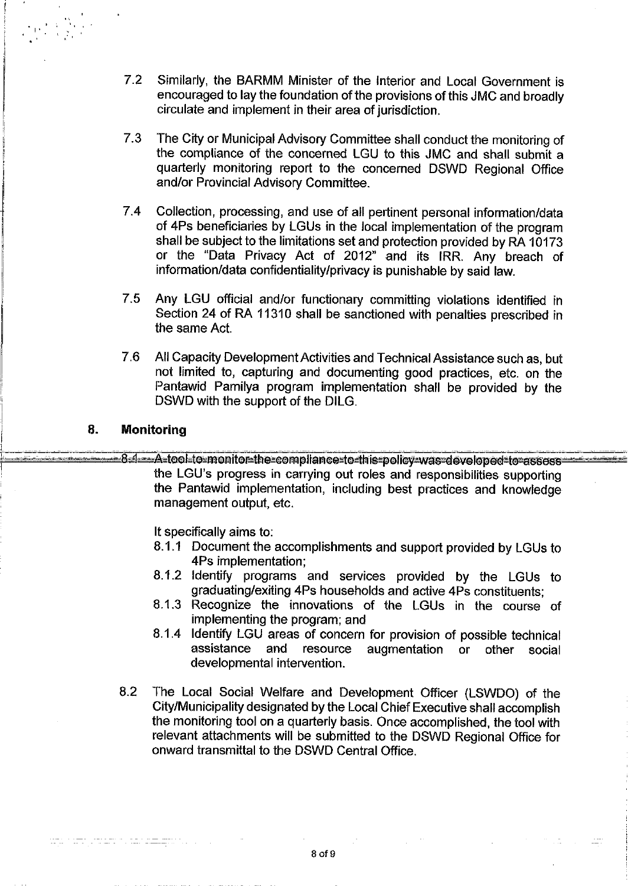- $7.2$ Similarly, the BARMM Minister of the Interior and Local Government is encouraged to lay the foundation of the provisions of this JMC and broadly circulate and implement in their area of jurisdiction.
- $73$ The City or Municipal Advisory Committee shall conduct the monitoring of the compliance of the concerned LGU to this JMC and shall submit a quarterly monitoring report to the concerned DSWD Regional Office and/or Provincial Advisory Committee.
- 74 Collection, processing, and use of all pertinent personal information/data of 4Ps beneficiaries by LGUs in the local implementation of the program shall be subject to the limitations set and protection provided by RA 10173 or the "Data Privacy Act of 2012" and its IRR. Any breach of information/data confidentiality/privacy is punishable by said law.
- 7.5 Any LGU official and/or functionary committing violations identified in Section 24 of RA 11310 shall be sanctioned with penalties prescribed in the same Act.
- 7.6 All Capacity Development Activities and Technical Assistance such as, but not limited to, capturing and documenting good practices, etc. on the Pantawid Pamilya program implementation shall be provided by the DSWD with the support of the DILG.

#### 8. **Monitoring**

alan kalendar dan bahasa yang bermula pada 1919.<br>Perang bermula pada tahun 1919 dan bermula pada 1919 dan bahasa yang bermula pada 1919 dan bahasa yang bermula

-8-1 - A-tool-to-monitor-the-compliance-to-this-policy-was-developed-to-assess the LGU's progress in carrying out roles and responsibilities supporting the Pantawid implementation, including best practices and knowledge management output, etc.

It specifically aims to:

- 8.1.1 Document the accomplishments and support provided by LGUs to 4Ps implementation:
- 8.1.2 Identify programs and services provided by the LGUs to graduating/exiting 4Ps households and active 4Ps constituents:
- 8.1.3 Recognize the innovations of the LGUs in the course of implementing the program; and
- 8.1.4 Identify LGU areas of concern for provision of possible technical assistance and resource augmentation  $or$ other social developmental intervention.
- 8.2 The Local Social Welfare and Development Officer (LSWDO) of the City/Municipality designated by the Local Chief Executive shall accomplish the monitoring tool on a quarterly basis. Once accomplished, the tool with relevant attachments will be submitted to the DSWD Regional Office for onward transmittal to the DSWD Central Office.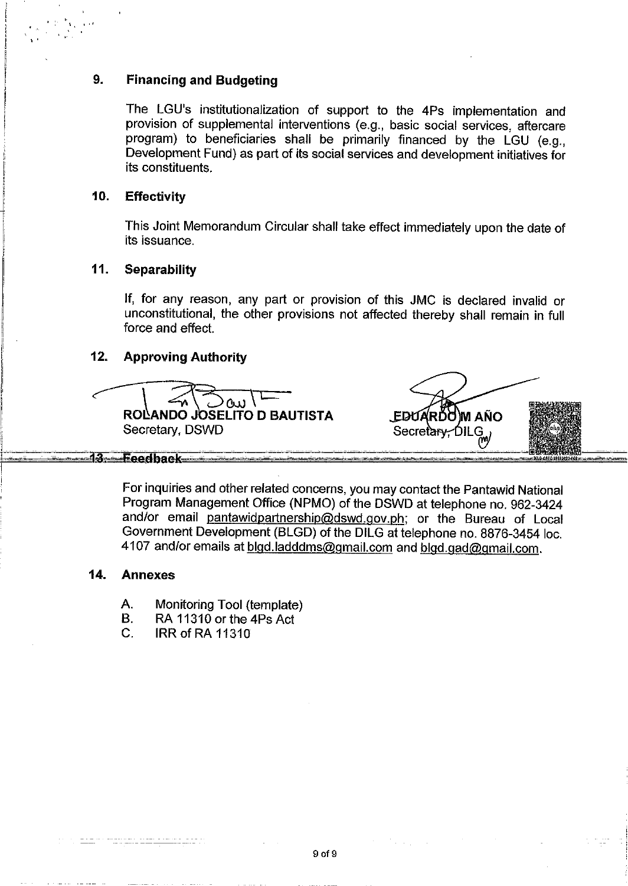#### 9. **Financing and Budgeting**

The LGU's institutionalization of support to the 4Ps implementation and provision of supplemental interventions (e.g., basic social services, aftercare program) to beneficiaries shall be primarily financed by the LGU (e.g., Development Fund) as part of its social services and development initiatives for its constituents.

#### $10<sub>1</sub>$ **Effectivity**

This Joint Memorandum Circular shall take effect immediately upon the date of its issuance.

#### $11.$ **Separability**

If, for any reason, any part or provision of this JMC is declared invalid or unconstitutional, the other provisions not affected thereby shall remain in full force and effect.

#### $12.$ **Approving Authority**

 $\alpha$ ROLANDO JOSELITO D BAUTISTA Secretary, DSWD

EDUARDO MAÑO Secretary, DILG

For inquiries and other related concerns, you may contact the Pantawid National Program Management Office (NPMO) of the DSWD at telephone no. 962-3424 and/or email pantawidpartnership@dswd.gov.ph; or the Bureau of Local Government Development (BLGD) of the DILG at telephone no. 8876-3454 loc. 4107 and/or emails at blgd.ladddms@gmail.com and blgd.gad@gmail.com.

#### 14. **Annexes**

13-Feedback

- A. Monitoring Tool (template)
- В. RA 11310 or the 4Ps Act
- C. **IRR of RA 11310**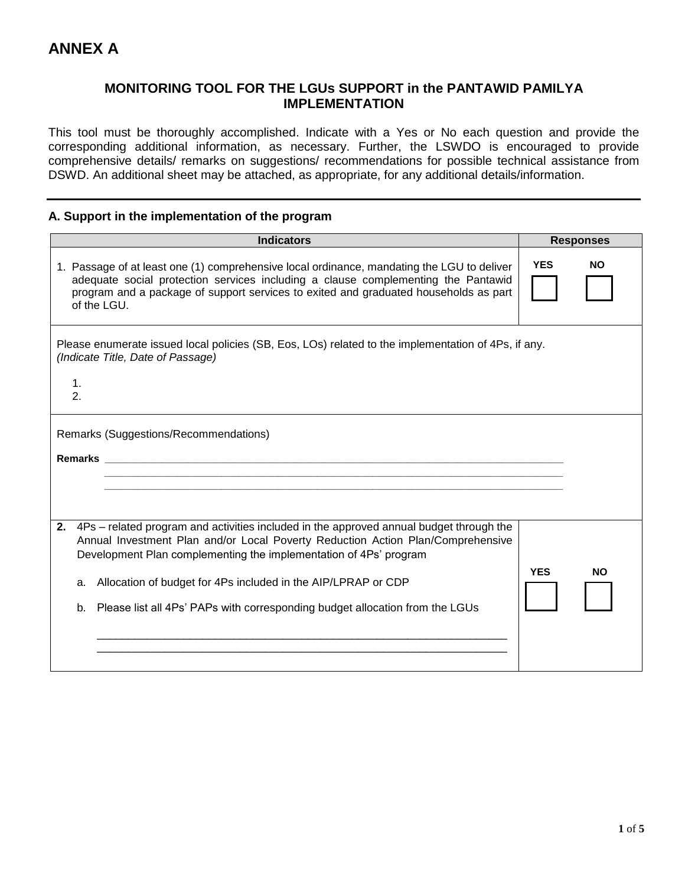## **MONITORING TOOL FOR THE LGUs SUPPORT in the PANTAWID PAMILYA IMPLEMENTATION**

This tool must be thoroughly accomplished. Indicate with a Yes or No each question and provide the corresponding additional information, as necessary. Further, the LSWDO is encouraged to provide comprehensive details/ remarks on suggestions/ recommendations for possible technical assistance from DSWD. An additional sheet may be attached, as appropriate, for any additional details/information.

### **A. Support in the implementation of the program**

| <b>Indicators</b>                                                                                                                                                                                                                                                                                                                                                                                               | <b>Responses</b>  |
|-----------------------------------------------------------------------------------------------------------------------------------------------------------------------------------------------------------------------------------------------------------------------------------------------------------------------------------------------------------------------------------------------------------------|-------------------|
| 1. Passage of at least one (1) comprehensive local ordinance, mandating the LGU to deliver<br>adequate social protection services including a clause complementing the Pantawid<br>program and a package of support services to exited and graduated households as part<br>of the LGU.                                                                                                                          | <b>YES</b><br>NO. |
| Please enumerate issued local policies (SB, Eos, LOs) related to the implementation of 4Ps, if any.<br>(Indicate Title, Date of Passage)<br>1.<br>2.                                                                                                                                                                                                                                                            |                   |
| Remarks (Suggestions/Recommendations)<br>Remarks <b>Example 2018 Remarks Example 2018</b>                                                                                                                                                                                                                                                                                                                       |                   |
| 2. 4Ps – related program and activities included in the approved annual budget through the<br>Annual Investment Plan and/or Local Poverty Reduction Action Plan/Comprehensive<br>Development Plan complementing the implementation of 4Ps' program<br>Allocation of budget for 4Ps included in the AIP/LPRAP or CDP<br>a.<br>Please list all 4Ps' PAPs with corresponding budget allocation from the LGUs<br>b. | <b>YES</b><br>NΟ  |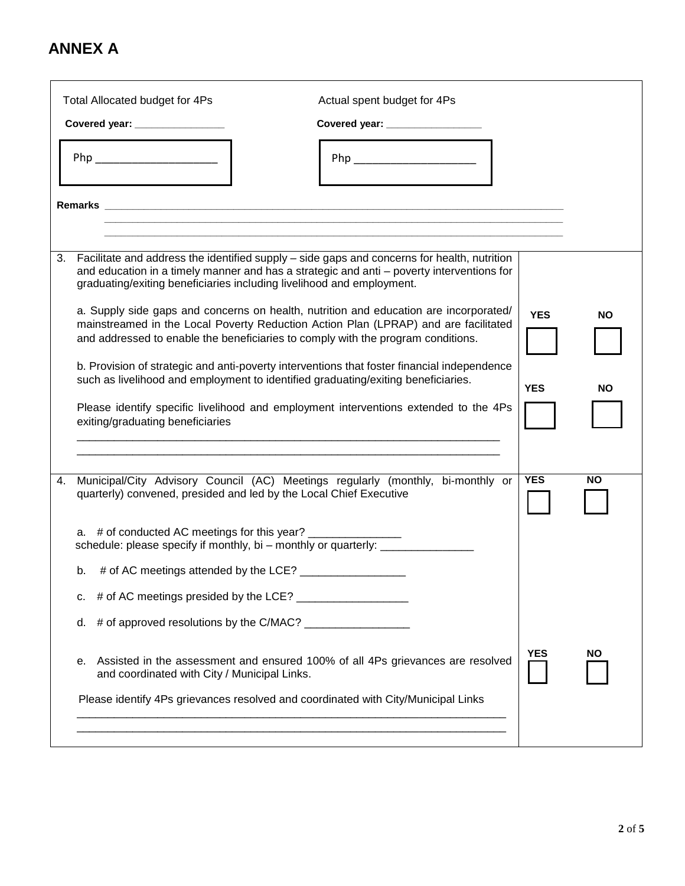|    |    | Total Allocated budget for 4Ps               | Actual spent budget for 4Ps                                                                                                                                                                                                                                                    |           |
|----|----|----------------------------------------------|--------------------------------------------------------------------------------------------------------------------------------------------------------------------------------------------------------------------------------------------------------------------------------|-----------|
|    |    | Covered year: ________________               | Covered year: _________________                                                                                                                                                                                                                                                |           |
|    |    |                                              | Php __________________________                                                                                                                                                                                                                                                 |           |
|    |    |                                              |                                                                                                                                                                                                                                                                                |           |
|    |    |                                              |                                                                                                                                                                                                                                                                                |           |
|    |    |                                              |                                                                                                                                                                                                                                                                                |           |
| 3. |    |                                              | Facilitate and address the identified supply – side gaps and concerns for health, nutrition<br>and education in a timely manner and has a strategic and anti - poverty interventions for<br>graduating/exiting beneficiaries including livelihood and employment.              |           |
|    |    |                                              | a. Supply side gaps and concerns on health, nutrition and education are incorporated/<br><b>YES</b><br>mainstreamed in the Local Poverty Reduction Action Plan (LPRAP) and are facilitated<br>and addressed to enable the beneficiaries to comply with the program conditions. | NΟ        |
|    |    |                                              | b. Provision of strategic and anti-poverty interventions that foster financial independence<br>such as livelihood and employment to identified graduating/exiting beneficiaries.<br><b>YES</b>                                                                                 | NΟ        |
|    |    | exiting/graduating beneficiaries             | Please identify specific livelihood and employment interventions extended to the 4Ps                                                                                                                                                                                           |           |
|    |    |                                              |                                                                                                                                                                                                                                                                                |           |
| 4. |    |                                              | <b>YES</b><br>Municipal/City Advisory Council (AC) Meetings regularly (monthly, bi-monthly or<br>quarterly) convened, presided and led by the Local Chief Executive                                                                                                            | <b>NO</b> |
|    |    |                                              | a. # of conducted AC meetings for this year?<br>schedule: please specify if monthly, bi - monthly or quarterly: _________                                                                                                                                                      |           |
|    |    |                                              |                                                                                                                                                                                                                                                                                |           |
|    | с. |                                              |                                                                                                                                                                                                                                                                                |           |
|    | d. |                                              |                                                                                                                                                                                                                                                                                |           |
|    | е. | and coordinated with City / Municipal Links. | <b>YES</b><br>Assisted in the assessment and ensured 100% of all 4Ps grievances are resolved                                                                                                                                                                                   | NO.       |
|    |    |                                              | Please identify 4Ps grievances resolved and coordinated with City/Municipal Links                                                                                                                                                                                              |           |
|    |    |                                              |                                                                                                                                                                                                                                                                                |           |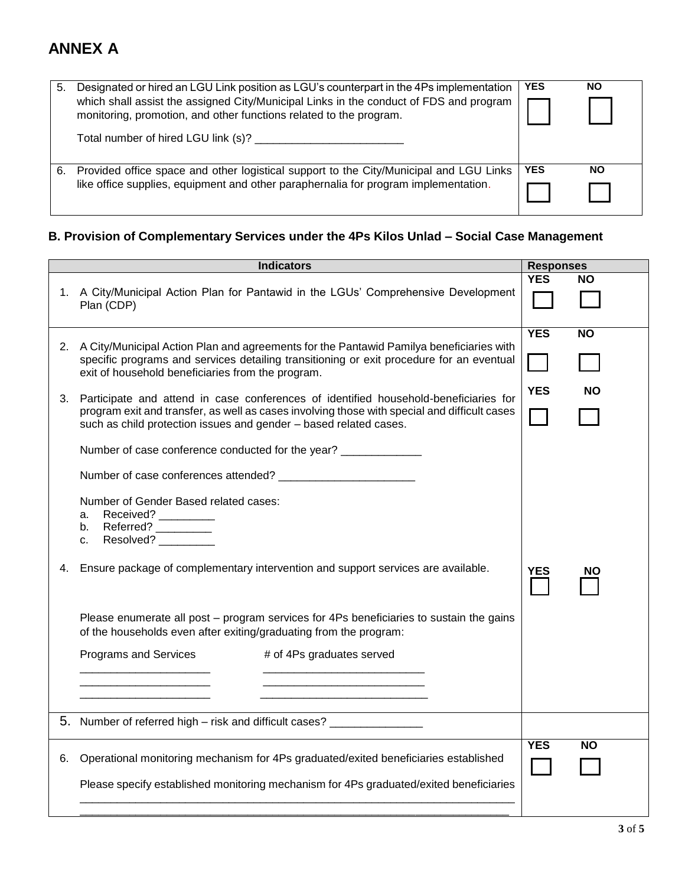| 5. | Designated or hired an LGU Link position as LGU's counterpart in the 4Ps implementation<br>which shall assist the assigned City/Municipal Links in the conduct of FDS and program<br>monitoring, promotion, and other functions related to the program. | <b>YES</b> | <b>NO</b> |
|----|---------------------------------------------------------------------------------------------------------------------------------------------------------------------------------------------------------------------------------------------------------|------------|-----------|
|    | Total number of hired LGU link (s)?                                                                                                                                                                                                                     |            |           |
| 6. | Provided office space and other logistical support to the City/Municipal and LGU Links<br>like office supplies, equipment and other paraphernalia for program implementation.                                                                           | <b>YES</b> | NO        |

## **B. Provision of Complementary Services under the 4Ps Kilos Unlad – Social Case Management**

|    | <b>Indicators</b>                                                                                                                                                                                                                                            | <b>Responses</b> |           |
|----|--------------------------------------------------------------------------------------------------------------------------------------------------------------------------------------------------------------------------------------------------------------|------------------|-----------|
|    | 1. A City/Municipal Action Plan for Pantawid in the LGUs' Comprehensive Development<br>Plan (CDP)                                                                                                                                                            | <b>YES</b>       | <b>NO</b> |
|    | 2. A City/Municipal Action Plan and agreements for the Pantawid Pamilya beneficiaries with<br>specific programs and services detailing transitioning or exit procedure for an eventual<br>exit of household beneficiaries from the program.                  | <b>YES</b>       | <b>NO</b> |
|    | 3. Participate and attend in case conferences of identified household-beneficiaries for<br>program exit and transfer, as well as cases involving those with special and difficult cases<br>such as child protection issues and gender - based related cases. | <b>YES</b>       | NΟ        |
|    | Number of case conference conducted for the year? ______________                                                                                                                                                                                             |                  |           |
|    |                                                                                                                                                                                                                                                              |                  |           |
| 4. | Number of Gender Based related cases:<br>Received? _________<br>a.<br>Referred?<br>b.<br>Resolved? <sup>[11]</sup><br>C.<br>Ensure package of complementary intervention and support services are available.                                                 | <b>YES</b>       | NΟ        |
|    |                                                                                                                                                                                                                                                              |                  |           |
|    | Please enumerate all post – program services for 4Ps beneficiaries to sustain the gains<br>of the households even after exiting/graduating from the program:                                                                                                 |                  |           |
|    | Programs and Services<br># of 4Ps graduates served                                                                                                                                                                                                           |                  |           |
|    |                                                                                                                                                                                                                                                              |                  |           |
|    | 5. Number of referred high – risk and difficult cases? ________________                                                                                                                                                                                      |                  |           |
| 6. | Operational monitoring mechanism for 4Ps graduated/exited beneficiaries established                                                                                                                                                                          | <b>YES</b>       | <b>NO</b> |
|    | Please specify established monitoring mechanism for 4Ps graduated/exited beneficiaries                                                                                                                                                                       |                  |           |
|    |                                                                                                                                                                                                                                                              |                  |           |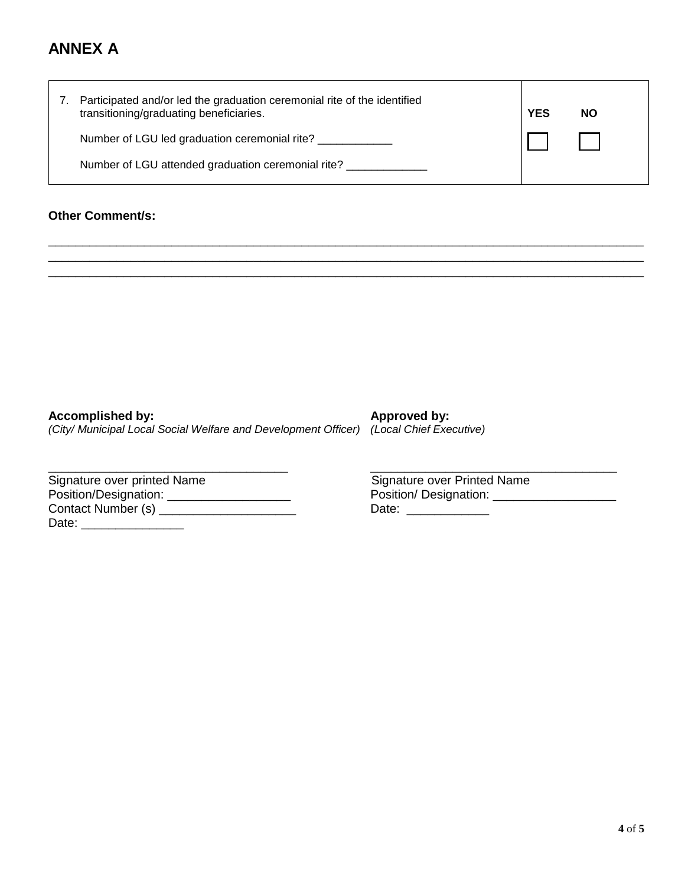| 7. | Participated and/or led the graduation ceremonial rite of the identified<br>transitioning/graduating beneficiaries. | <b>YES</b> | <b>NO</b> |
|----|---------------------------------------------------------------------------------------------------------------------|------------|-----------|
|    | Number of LGU led graduation ceremonial rite?                                                                       |            |           |
|    | Number of LGU attended graduation ceremonial rite?                                                                  |            |           |

\_\_\_\_\_\_\_\_\_\_\_\_\_\_\_\_\_\_\_\_\_\_\_\_\_\_\_\_\_\_\_\_\_\_\_\_\_\_\_\_\_\_\_\_\_\_\_\_\_\_\_\_\_\_\_\_\_\_\_\_\_\_\_\_\_\_\_\_\_\_\_\_\_\_\_\_\_\_\_\_\_\_\_\_\_\_\_ \_\_\_\_\_\_\_\_\_\_\_\_\_\_\_\_\_\_\_\_\_\_\_\_\_\_\_\_\_\_\_\_\_\_\_\_\_\_\_\_\_\_\_\_\_\_\_\_\_\_\_\_\_\_\_\_\_\_\_\_\_\_\_\_\_\_\_\_\_\_\_\_\_\_\_\_\_\_\_\_\_\_\_\_\_\_\_ \_\_\_\_\_\_\_\_\_\_\_\_\_\_\_\_\_\_\_\_\_\_\_\_\_\_\_\_\_\_\_\_\_\_\_\_\_\_\_\_\_\_\_\_\_\_\_\_\_\_\_\_\_\_\_\_\_\_\_\_\_\_\_\_\_\_\_\_\_\_\_\_\_\_\_\_\_\_\_\_\_\_\_\_\_\_\_

## **Other Comment/s:**

| Accomplished by:                                                                       | Approved by: |
|----------------------------------------------------------------------------------------|--------------|
| (City/ Municipal Local Social Welfare and Development Officer) (Local Chief Executive) |              |

| Signature over printed Name | Signature over Printed Name |
|-----------------------------|-----------------------------|
| Position/Designation:       | Position/Designation:       |
| Contact Number (s)          | Date:                       |
| Date:                       |                             |

 $\overline{\phantom{a}}$  , and the contribution of the contribution of the contribution of the contribution of the contribution of the contribution of the contribution of the contribution of the contribution of the contribution of the Contact Number (s) \_\_\_\_\_\_\_\_\_\_\_\_\_\_\_\_\_\_\_\_ Date: \_\_\_\_\_\_\_\_\_\_\_\_